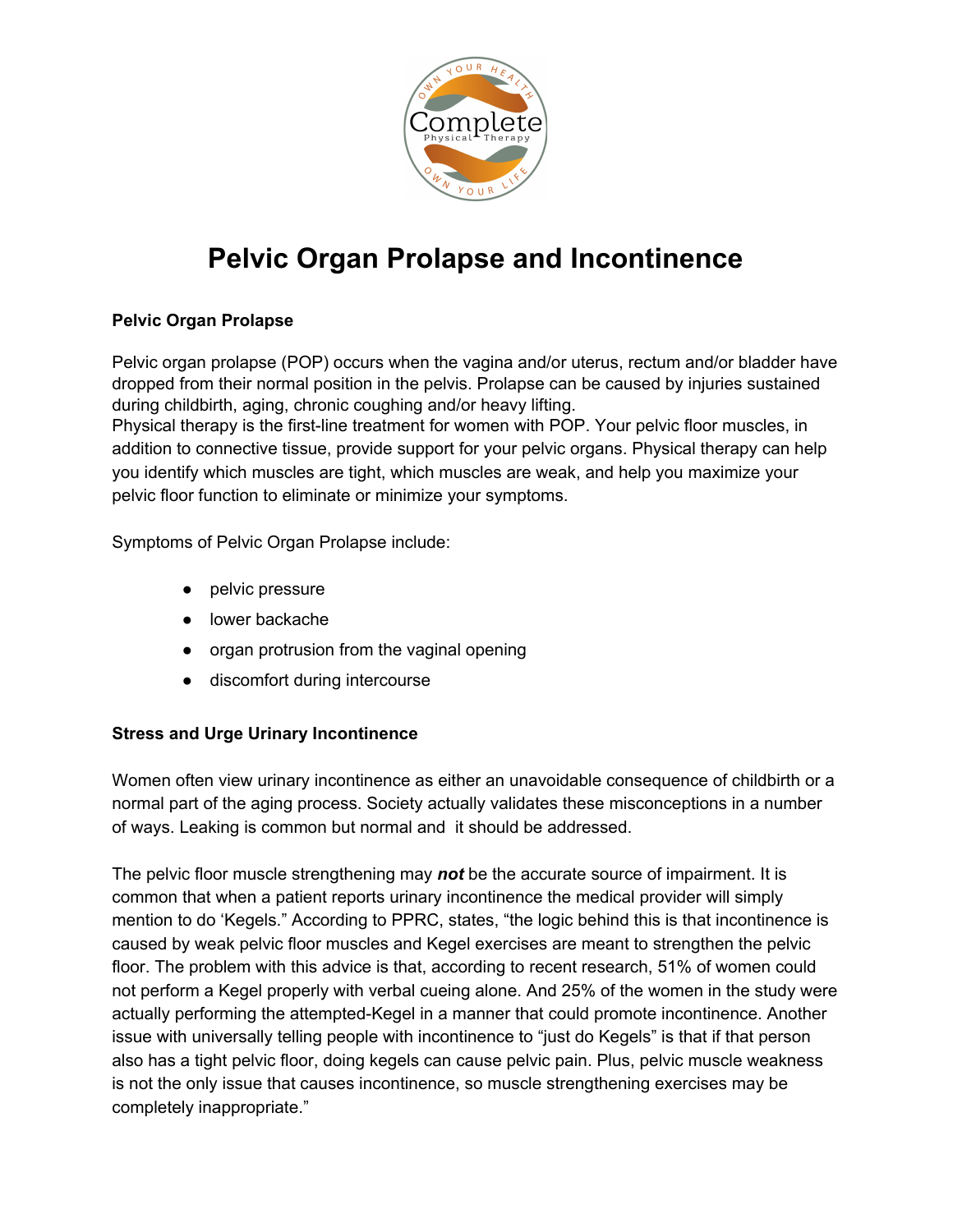

# **Pelvic Organ Prolapse and Incontinence**

### **Pelvic Organ Prolapse**

Pelvic organ prolapse (POP) occurs when the vagina and/or uterus, rectum and/or bladder have dropped from their normal position in the pelvis. Prolapse can be caused by injuries sustained during childbirth, aging, chronic coughing and/or heavy lifting.

Physical therapy is the first-line treatment for women with POP. Your pelvic floor muscles, in addition to connective tissue, provide support for your pelvic organs. Physical therapy can help you identify which muscles are tight, which muscles are weak, and help you maximize your pelvic floor function to eliminate or minimize your symptoms.

Symptoms of Pelvic Organ Prolapse include:

- pelvic pressure
- lower backache
- organ protrusion from the vaginal opening
- discomfort during intercourse

#### **Stress and Urge Urinary Incontinence**

Women often view urinary incontinence as either an unavoidable consequence of childbirth or a normal part of the aging process. Society actually validates these misconceptions in a number of ways. Leaking is common but normal and it should be addressed.

The pelvic floor muscle strengthening may **not** be the accurate source of impairment. It is common that when a patient reports urinary incontinence the medical provider will simply mention to do 'Kegels." According to PPRC, states, "the logic behind this is that incontinence is caused by weak pelvic floor muscles and Kegel exercises are meant to strengthen the pelvic floor. The problem with this advice is that, according to recent research, 51% of women could not perform a Kegel properly with verbal cueing alone. And 25% of the women in the study were actually performing the attempted-Kegel in a manner that could promote incontinence. Another issue with universally telling people with incontinence to "just do Kegels" is that if that person also has a tight pelvic floor, doing kegels can cause pelvic pain. Plus, pelvic muscle weakness is not the only issue that causes incontinence, so muscle strengthening exercises may be completely inappropriate."